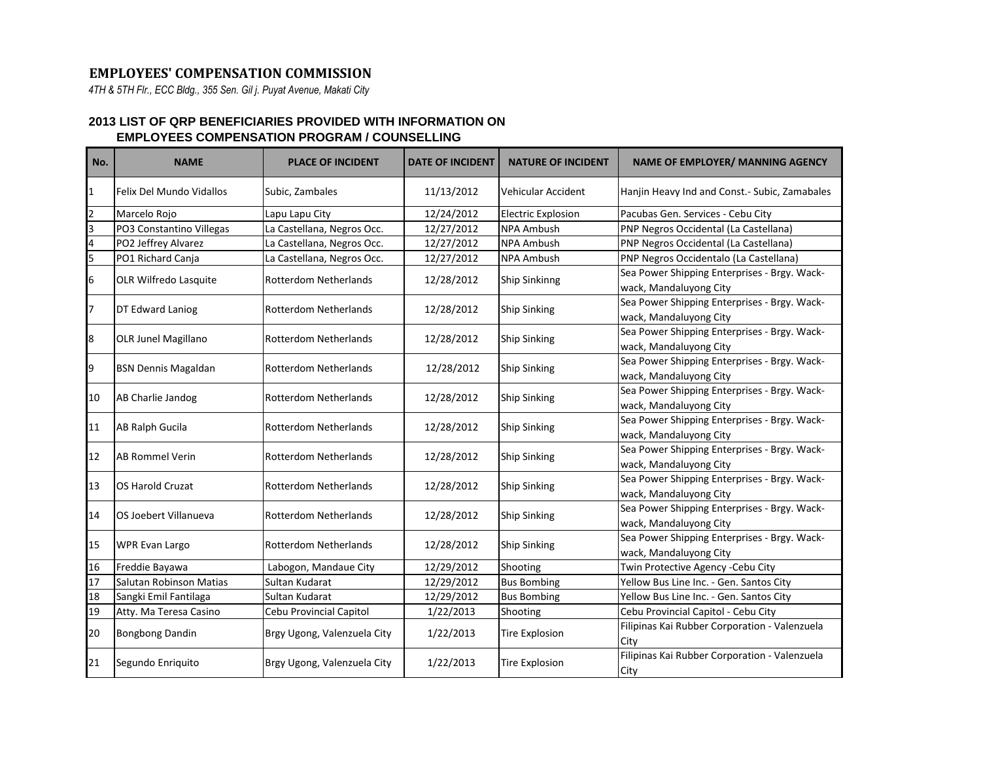## **EMPLOYEES' COMPENSATION COMMISSION**

*4TH & 5TH Flr., ECC Bldg., 355 Sen. Gil j. Puyat Avenue, Makati City*

## **2013 LIST OF QRP BENEFICIARIES PROVIDED WITH INFORMATION ON EMPLOYEES COMPENSATION PROGRAM / COUNSELLING**

| No.             | <b>NAME</b>                    | <b>PLACE OF INCIDENT</b>     | <b>DATE OF INCIDENT</b> | <b>NATURE OF INCIDENT</b> | <b>NAME OF EMPLOYER/ MANNING AGENCY</b>                                |
|-----------------|--------------------------------|------------------------------|-------------------------|---------------------------|------------------------------------------------------------------------|
| $\mathbf{1}$    | Felix Del Mundo Vidallos       | Subic, Zambales              | 11/13/2012              | Vehicular Accident        | Hanjin Heavy Ind and Const.- Subic, Zamabales                          |
| $\overline{2}$  | Marcelo Rojo                   | Lapu Lapu City               | 12/24/2012              | <b>Electric Explosion</b> | Pacubas Gen. Services - Cebu City                                      |
| 3               | PO3 Constantino Villegas       | La Castellana, Negros Occ.   | 12/27/2012              | <b>NPA Ambush</b>         | PNP Negros Occidental (La Castellana)                                  |
| 4               | PO2 Jeffrey Alvarez            | La Castellana, Negros Occ.   | 12/27/2012              | <b>NPA Ambush</b>         | PNP Negros Occidental (La Castellana)                                  |
| 5               | PO1 Richard Canja              | La Castellana, Negros Occ.   | 12/27/2012              | <b>NPA Ambush</b>         | PNP Negros Occidentalo (La Castellana)                                 |
| 6               | <b>OLR Wilfredo Lasquite</b>   | <b>Rotterdom Netherlands</b> | 12/28/2012              | <b>Ship Sinkinng</b>      | Sea Power Shipping Enterprises - Brgy. Wack-<br>wack, Mandaluyong City |
| 7               | DT Edward Laniog               | Rotterdom Netherlands        | 12/28/2012              | <b>Ship Sinking</b>       | Sea Power Shipping Enterprises - Brgy. Wack-<br>wack, Mandaluyong City |
| 8               | OLR Junel Magillano            | Rotterdom Netherlands        | 12/28/2012              | <b>Ship Sinking</b>       | Sea Power Shipping Enterprises - Brgy. Wack-<br>wack, Mandaluyong City |
| 9               | <b>BSN Dennis Magaldan</b>     | Rotterdom Netherlands        | 12/28/2012              | <b>Ship Sinking</b>       | Sea Power Shipping Enterprises - Brgy. Wack-<br>wack, Mandaluyong City |
| 10              | AB Charlie Jandog              | Rotterdom Netherlands        | 12/28/2012              | <b>Ship Sinking</b>       | Sea Power Shipping Enterprises - Brgy. Wack-<br>wack, Mandaluyong City |
| 11              | <b>AB Ralph Gucila</b>         | Rotterdom Netherlands        | 12/28/2012              | <b>Ship Sinking</b>       | Sea Power Shipping Enterprises - Brgy. Wack-<br>wack, Mandaluyong City |
| 12              | <b>AB Rommel Verin</b>         | Rotterdom Netherlands        | 12/28/2012              | <b>Ship Sinking</b>       | Sea Power Shipping Enterprises - Brgy. Wack-<br>wack, Mandaluyong City |
| 13              | <b>OS Harold Cruzat</b>        | <b>Rotterdom Netherlands</b> | 12/28/2012              | <b>Ship Sinking</b>       | Sea Power Shipping Enterprises - Brgy. Wack-<br>wack, Mandaluyong City |
| 14              | OS Joebert Villanueva          | Rotterdom Netherlands        | 12/28/2012              | <b>Ship Sinking</b>       | Sea Power Shipping Enterprises - Brgy. Wack-<br>wack, Mandaluyong City |
| 15              | <b>WPR Evan Largo</b>          | Rotterdom Netherlands        | 12/28/2012              | <b>Ship Sinking</b>       | Sea Power Shipping Enterprises - Brgy. Wack-<br>wack, Mandaluyong City |
| 16              | Freddie Bayawa                 | Labogon, Mandaue City        | 12/29/2012              | Shooting                  | Twin Protective Agency - Cebu City                                     |
| $\overline{17}$ | <b>Salutan Robinson Matias</b> | Sultan Kudarat               | 12/29/2012              | <b>Bus Bombing</b>        | Yellow Bus Line Inc. - Gen. Santos City                                |
| 18              | Sangki Emil Fantilaga          | Sultan Kudarat               | 12/29/2012              | <b>Bus Bombing</b>        | Yellow Bus Line Inc. - Gen. Santos City                                |
| 19              | Atty. Ma Teresa Casino         | Cebu Provincial Capitol      | 1/22/2013               | Shooting                  | Cebu Provincial Capitol - Cebu City                                    |
| 20              | <b>Bongbong Dandin</b>         | Brgy Ugong, Valenzuela City  | 1/22/2013               | <b>Tire Explosion</b>     | Filipinas Kai Rubber Corporation - Valenzuela<br>City                  |
| 21              | Segundo Enriquito              | Brgy Ugong, Valenzuela City  | 1/22/2013               | <b>Tire Explosion</b>     | Filipinas Kai Rubber Corporation - Valenzuela<br>City                  |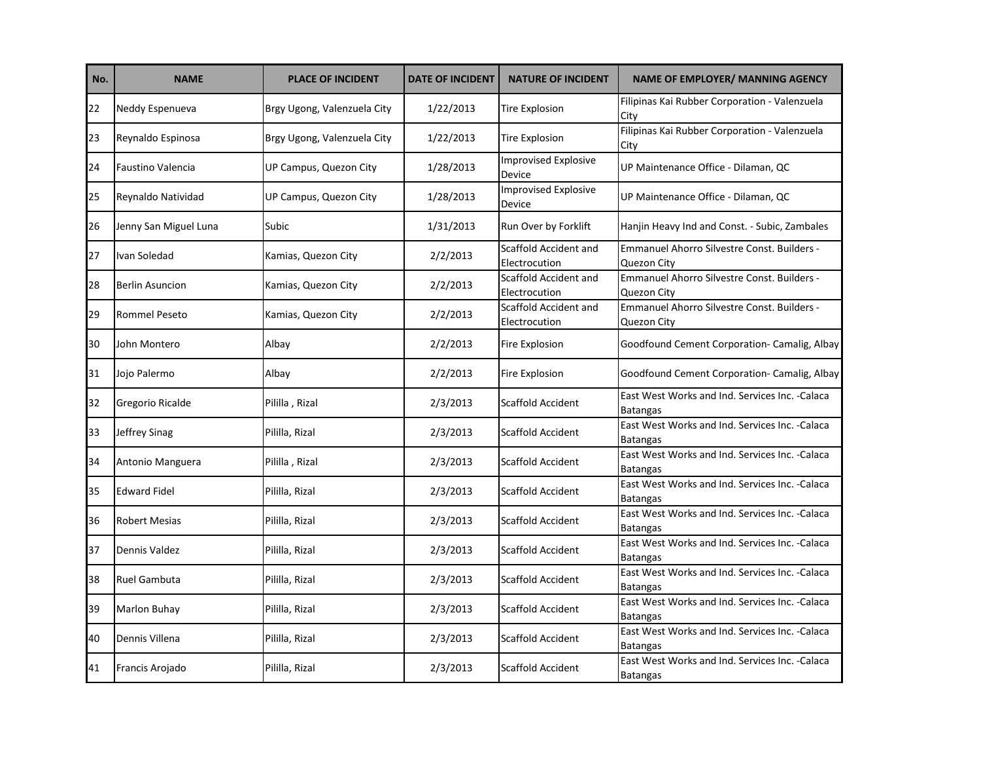| No. | <b>NAME</b>              | <b>PLACE OF INCIDENT</b>    | <b>DATE OF INCIDENT</b> | <b>NATURE OF INCIDENT</b>                     | <b>NAME OF EMPLOYER/ MANNING AGENCY</b>                            |
|-----|--------------------------|-----------------------------|-------------------------|-----------------------------------------------|--------------------------------------------------------------------|
| 22  | Neddy Espenueva          | Brgy Ugong, Valenzuela City | 1/22/2013               | <b>Tire Explosion</b>                         | Filipinas Kai Rubber Corporation - Valenzuela<br>City              |
| 23  | Reynaldo Espinosa        | Brgy Ugong, Valenzuela City | 1/22/2013               | Tire Explosion                                | Filipinas Kai Rubber Corporation - Valenzuela<br>City              |
| 24  | <b>Faustino Valencia</b> | UP Campus, Quezon City      | 1/28/2013               | <b>Improvised Explosive</b><br>Device         | UP Maintenance Office - Dilaman, QC                                |
| 25  | Reynaldo Natividad       | UP Campus, Quezon City      | 1/28/2013               | <b>Improvised Explosive</b><br>Device         | UP Maintenance Office - Dilaman, QC                                |
| 26  | Jenny San Miguel Luna    | Subic                       | 1/31/2013               | Run Over by Forklift                          | Hanjin Heavy Ind and Const. - Subic, Zambales                      |
| 27  | Ivan Soledad             | Kamias, Quezon City         | 2/2/2013                | Scaffold Accident and<br>Electrocution        | Emmanuel Ahorro Silvestre Const. Builders -<br>Quezon City         |
| 28  | <b>Berlin Asuncion</b>   | Kamias, Quezon City         | 2/2/2013                | Scaffold Accident and<br>Electrocution        | Emmanuel Ahorro Silvestre Const. Builders -<br>Quezon City         |
| 29  | <b>Rommel Peseto</b>     | Kamias, Quezon City         | 2/2/2013                | <b>Scaffold Accident and</b><br>Electrocution | Emmanuel Ahorro Silvestre Const. Builders -<br>Quezon City         |
| 30  | John Montero             | Albay                       | 2/2/2013                | <b>Fire Explosion</b>                         | Goodfound Cement Corporation- Camalig, Albay                       |
| 31  | Jojo Palermo             | Albay                       | 2/2/2013                | Fire Explosion                                | Goodfound Cement Corporation- Camalig, Albay                       |
| 32  | Gregorio Ricalde         | Pililla , Rizal             | 2/3/2013                | Scaffold Accident                             | East West Works and Ind. Services Inc. - Calaca<br><b>Batangas</b> |
| 33  | Jeffrey Sinag            | Pililla, Rizal              | 2/3/2013                | <b>Scaffold Accident</b>                      | East West Works and Ind. Services Inc. - Calaca<br>Batangas        |
| 34  | Antonio Manguera         | Pililla, Rizal              | 2/3/2013                | <b>Scaffold Accident</b>                      | East West Works and Ind. Services Inc. - Calaca<br>Batangas        |
| 35  | <b>Edward Fidel</b>      | Pililla, Rizal              | 2/3/2013                | <b>Scaffold Accident</b>                      | East West Works and Ind. Services Inc. - Calaca<br><b>Batangas</b> |
| 36  | <b>Robert Mesias</b>     | Pililla, Rizal              | 2/3/2013                | <b>Scaffold Accident</b>                      | East West Works and Ind. Services Inc. - Calaca<br>Batangas        |
| 37  | Dennis Valdez            | Pililla, Rizal              | 2/3/2013                | <b>Scaffold Accident</b>                      | East West Works and Ind. Services Inc. - Calaca<br>Batangas        |
| 38  | <b>Ruel Gambuta</b>      | Pililla, Rizal              | 2/3/2013                | <b>Scaffold Accident</b>                      | East West Works and Ind. Services Inc. - Calaca<br><b>Batangas</b> |
| 39  | Marlon Buhay             | Pililla, Rizal              | 2/3/2013                | Scaffold Accident                             | East West Works and Ind. Services Inc. - Calaca<br><b>Batangas</b> |
| 40  | Dennis Villena           | Pililla, Rizal              | 2/3/2013                | <b>Scaffold Accident</b>                      | East West Works and Ind. Services Inc. - Calaca<br>Batangas        |
| 41  | Francis Arojado          | Pililla, Rizal              | 2/3/2013                | Scaffold Accident                             | East West Works and Ind. Services Inc. -Calaca<br><b>Batangas</b>  |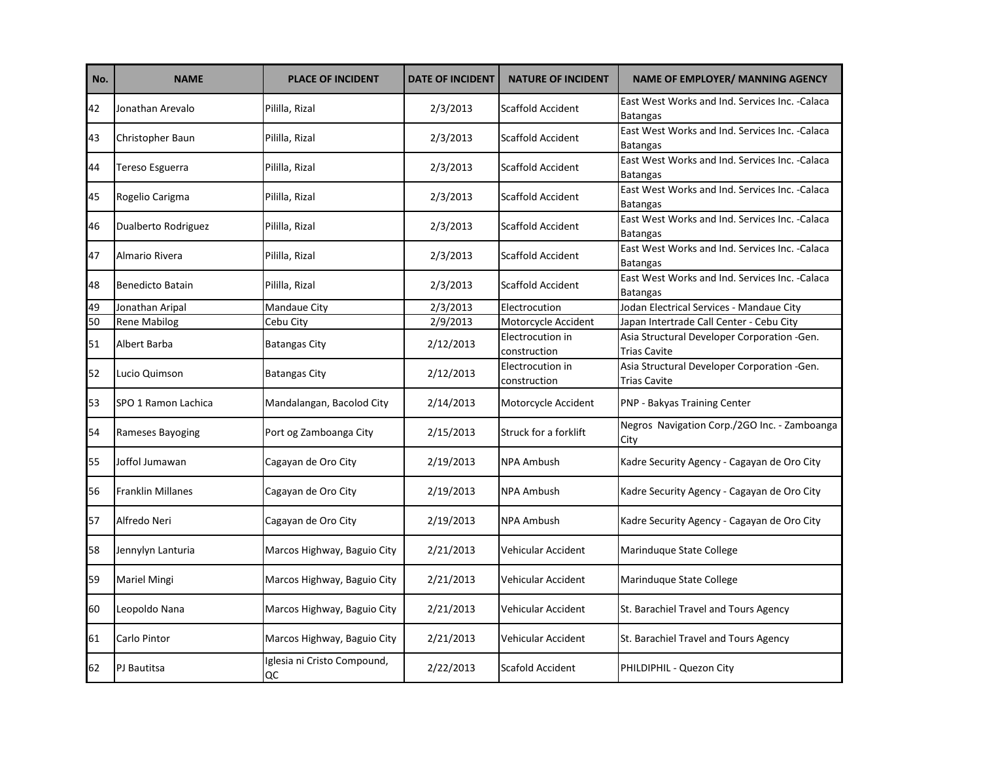| No. | <b>NAME</b>              | <b>PLACE OF INCIDENT</b>          | <b>DATE OF INCIDENT</b> | <b>NATURE OF INCIDENT</b>        | <b>NAME OF EMPLOYER/ MANNING AGENCY</b>                            |
|-----|--------------------------|-----------------------------------|-------------------------|----------------------------------|--------------------------------------------------------------------|
| 42  | Jonathan Arevalo         | Pililla, Rizal                    | 2/3/2013                | <b>Scaffold Accident</b>         | East West Works and Ind. Services Inc. - Calaca<br><b>Batangas</b> |
| 43  | Christopher Baun         | Pililla, Rizal                    | 2/3/2013                | Scaffold Accident                | East West Works and Ind. Services Inc. - Calaca<br>Batangas        |
| 44  | Tereso Esguerra          | Pililla, Rizal                    | 2/3/2013                | <b>Scaffold Accident</b>         | East West Works and Ind. Services Inc. - Calaca<br><b>Batangas</b> |
| 45  | Rogelio Carigma          | Pililla, Rizal                    | 2/3/2013                | Scaffold Accident                | East West Works and Ind. Services Inc. - Calaca<br>Batangas        |
| 46  | Dualberto Rodriguez      | Pililla, Rizal                    | 2/3/2013                | <b>Scaffold Accident</b>         | East West Works and Ind. Services Inc. - Calaca<br><b>Batangas</b> |
| 47  | Almario Rivera           | Pililla, Rizal                    | 2/3/2013                | <b>Scaffold Accident</b>         | East West Works and Ind. Services Inc. - Calaca<br><b>Batangas</b> |
| 48  | <b>Benedicto Batain</b>  | Pililla, Rizal                    | 2/3/2013                | Scaffold Accident                | East West Works and Ind. Services Inc. - Calaca<br><b>Batangas</b> |
| 49  | Jonathan Aripal          | Mandaue City                      | 2/3/2013                | Electrocution                    | Jodan Electrical Services - Mandaue City                           |
| 50  | <b>Rene Mabilog</b>      | Cebu City                         | 2/9/2013                | Motorcycle Accident              | Japan Intertrade Call Center - Cebu City                           |
| 51  | Albert Barba             | <b>Batangas City</b>              | 2/12/2013               | Electrocution in<br>construction | Asia Structural Developer Corporation -Gen.<br><b>Trias Cavite</b> |
| 52  | Lucio Quimson            | <b>Batangas City</b>              | 2/12/2013               | Electrocution in<br>construction | Asia Structural Developer Corporation -Gen.<br><b>Trias Cavite</b> |
| 53  | SPO 1 Ramon Lachica      | Mandalangan, Bacolod City         | 2/14/2013               | Motorcycle Accident              | PNP - Bakyas Training Center                                       |
| 54  | Rameses Bayoging         | Port og Zamboanga City            | 2/15/2013               | <b>Struck for a forklift</b>     | Negros Navigation Corp./2GO Inc. - Zamboanga<br>City               |
| 55  | Joffol Jumawan           | Cagayan de Oro City               | 2/19/2013               | <b>NPA Ambush</b>                | Kadre Security Agency - Cagayan de Oro City                        |
| 56  | <b>Franklin Millanes</b> | Cagayan de Oro City               | 2/19/2013               | <b>NPA Ambush</b>                | Kadre Security Agency - Cagayan de Oro City                        |
| 57  | Alfredo Neri             | Cagayan de Oro City               | 2/19/2013               | <b>NPA Ambush</b>                | Kadre Security Agency - Cagayan de Oro City                        |
| 58  | Jennylyn Lanturia        | Marcos Highway, Baguio City       | 2/21/2013               | Vehicular Accident               | Marinduque State College                                           |
| 59  | Mariel Mingi             | Marcos Highway, Baguio City       | 2/21/2013               | Vehicular Accident               | Marinduque State College                                           |
| 60  | Leopoldo Nana            | Marcos Highway, Baguio City       | 2/21/2013               | Vehicular Accident               | St. Barachiel Travel and Tours Agency                              |
| 61  | Carlo Pintor             | Marcos Highway, Baguio City       | 2/21/2013               | Vehicular Accident               | St. Barachiel Travel and Tours Agency                              |
| 62  | <b>PJ</b> Bautitsa       | Iglesia ni Cristo Compound,<br>QC | 2/22/2013               | Scafold Accident                 | PHILDIPHIL - Quezon City                                           |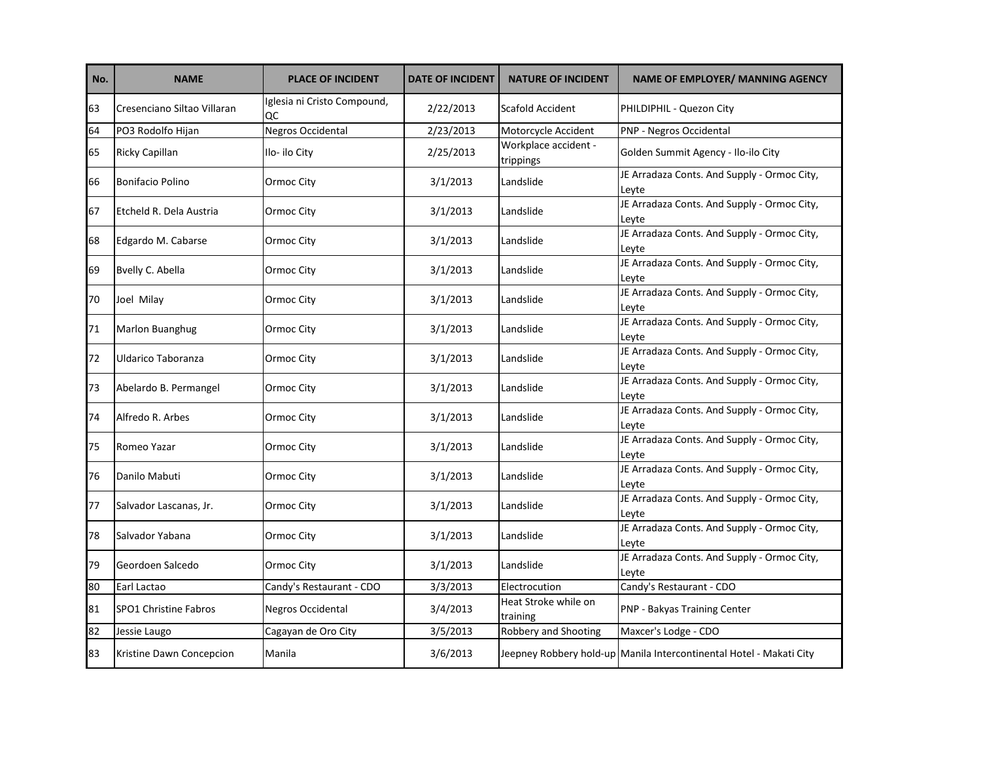| No. | <b>NAME</b>                  | <b>PLACE OF INCIDENT</b>          | <b>DATE OF INCIDENT</b> | <b>NATURE OF INCIDENT</b>         | <b>NAME OF EMPLOYER/ MANNING AGENCY</b>                             |
|-----|------------------------------|-----------------------------------|-------------------------|-----------------------------------|---------------------------------------------------------------------|
| 63  | Cresenciano Siltao Villaran  | Iglesia ni Cristo Compound,<br>QC | 2/22/2013               | <b>Scafold Accident</b>           | PHILDIPHIL - Quezon City                                            |
| 64  | PO3 Rodolfo Hijan            | <b>Negros Occidental</b>          | 2/23/2013               | Motorcycle Accident               | PNP - Negros Occidental                                             |
| 65  | <b>Ricky Capillan</b>        | Ilo- ilo City                     | 2/25/2013               | Workplace accident -<br>trippings | Golden Summit Agency - Ilo-ilo City                                 |
| 66  | <b>Bonifacio Polino</b>      | Ormoc City                        | 3/1/2013                | Landslide                         | JE Arradaza Conts. And Supply - Ormoc City,<br>Leyte                |
| 67  | Etcheld R. Dela Austria      | Ormoc City                        | 3/1/2013                | Landslide                         | JE Arradaza Conts. And Supply - Ormoc City,<br>Leyte                |
| 68  | Edgardo M. Cabarse           | Ormoc City                        | 3/1/2013                | Landslide                         | JE Arradaza Conts. And Supply - Ormoc City,<br>Leyte                |
| 69  | Bvelly C. Abella             | Ormoc City                        | 3/1/2013                | Landslide                         | JE Arradaza Conts. And Supply - Ormoc City,<br>Leyte                |
| 70  | Joel Milay                   | Ormoc City                        | 3/1/2013                | Landslide                         | JE Arradaza Conts. And Supply - Ormoc City,<br>Leyte                |
| 71  | <b>Marlon Buanghug</b>       | Ormoc City                        | 3/1/2013                | Landslide                         | JE Arradaza Conts. And Supply - Ormoc City,<br>Leyte                |
| 72  | Uldarico Taboranza           | Ormoc City                        | 3/1/2013                | Landslide                         | JE Arradaza Conts. And Supply - Ormoc City,<br>Leyte                |
| 73  | Abelardo B. Permangel        | Ormoc City                        | 3/1/2013                | Landslide                         | JE Arradaza Conts. And Supply - Ormoc City,<br>Leyte                |
| 74  | Alfredo R. Arbes             | Ormoc City                        | 3/1/2013                | Landslide                         | JE Arradaza Conts. And Supply - Ormoc City,<br>Leyte                |
| 75  | Romeo Yazar                  | Ormoc City                        | 3/1/2013                | Landslide                         | JE Arradaza Conts. And Supply - Ormoc City,<br>Leyte                |
| 76  | Danilo Mabuti                | Ormoc City                        | 3/1/2013                | Landslide                         | JE Arradaza Conts. And Supply - Ormoc City,<br>Leyte                |
| 77  | Salvador Lascanas, Jr.       | Ormoc City                        | 3/1/2013                | Landslide                         | JE Arradaza Conts. And Supply - Ormoc City,<br>Leyte                |
| 78  | Salvador Yabana              | Ormoc City                        | 3/1/2013                | Landslide                         | JE Arradaza Conts. And Supply - Ormoc City,<br>Leyte                |
| 79  | Geordoen Salcedo             | Ormoc City                        | 3/1/2013                | Landslide                         | JE Arradaza Conts. And Supply - Ormoc City,<br>Leyte                |
| 80  | Earl Lactao                  | Candy's Restaurant - CDO          | 3/3/2013                | Electrocution                     | Candy's Restaurant - CDO                                            |
| 81  | <b>SPO1 Christine Fabros</b> | <b>Negros Occidental</b>          | 3/4/2013                | Heat Stroke while on<br>training  | PNP - Bakyas Training Center                                        |
| 82  | Jessie Laugo                 | Cagayan de Oro City               | 3/5/2013                | Robbery and Shooting              | Maxcer's Lodge - CDO                                                |
| 83  | Kristine Dawn Concepcion     | Manila                            | 3/6/2013                |                                   | Jeepney Robbery hold-up Manila Intercontinental Hotel - Makati City |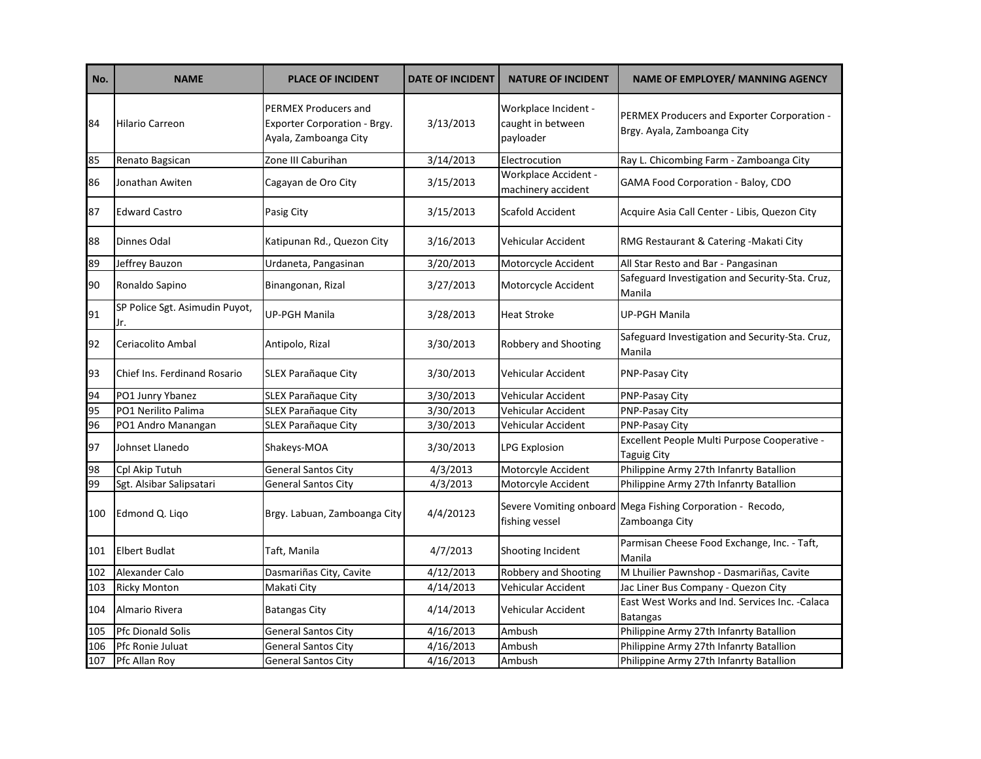| No. | <b>NAME</b>                           | <b>PLACE OF INCIDENT</b>                                                             | <b>DATE OF INCIDENT</b> | <b>NATURE OF INCIDENT</b>                              | <b>NAME OF EMPLOYER/ MANNING AGENCY</b>                                      |
|-----|---------------------------------------|--------------------------------------------------------------------------------------|-------------------------|--------------------------------------------------------|------------------------------------------------------------------------------|
| 84  | <b>Hilario Carreon</b>                | <b>PERMEX Producers and</b><br>Exporter Corporation - Brgy.<br>Ayala, Zamboanga City | 3/13/2013               | Workplace Incident -<br>caught in between<br>payloader | PERMEX Producers and Exporter Corporation -<br>Brgy. Ayala, Zamboanga City   |
| 85  | Renato Bagsican                       | Zone III Caburihan                                                                   | 3/14/2013               | Electrocution                                          | Ray L. Chicombing Farm - Zamboanga City                                      |
| 86  | Jonathan Awiten                       | Cagayan de Oro City                                                                  | 3/15/2013               | Workplace Accident -<br>machinery accident             | GAMA Food Corporation - Baloy, CDO                                           |
| 87  | <b>Edward Castro</b>                  | Pasig City                                                                           | 3/15/2013               | Scafold Accident                                       | Acquire Asia Call Center - Libis, Quezon City                                |
| 88  | Dinnes Odal                           | Katipunan Rd., Quezon City                                                           | 3/16/2013               | Vehicular Accident                                     | RMG Restaurant & Catering -Makati City                                       |
| 89  | Jeffrey Bauzon                        | Urdaneta, Pangasinan                                                                 | 3/20/2013               | Motorcycle Accident                                    | All Star Resto and Bar - Pangasinan                                          |
| 90  | Ronaldo Sapino                        | Binangonan, Rizal                                                                    | 3/27/2013               | Motorcycle Accident                                    | Safeguard Investigation and Security-Sta. Cruz,<br>Manila                    |
| 91  | SP Police Sgt. Asimudin Puyot,<br>Jr. | UP-PGH Manila                                                                        | 3/28/2013               | <b>Heat Stroke</b>                                     | UP-PGH Manila                                                                |
| 92  | Ceriacolito Ambal                     | Antipolo, Rizal                                                                      | 3/30/2013               | Robbery and Shooting                                   | Safeguard Investigation and Security-Sta. Cruz,<br>Manila                    |
| 93  | Chief Ins. Ferdinand Rosario          | SLEX Parañaque City                                                                  | 3/30/2013               | <b>Vehicular Accident</b>                              | PNP-Pasay City                                                               |
| 94  | PO1 Junry Ybanez                      | <b>SLEX Parañaque City</b>                                                           | 3/30/2013               | Vehicular Accident                                     | <b>PNP-Pasay City</b>                                                        |
| 95  | PO1 Nerilito Palima                   | SLEX Parañaque City                                                                  | 3/30/2013               | Vehicular Accident                                     | PNP-Pasay City                                                               |
| 96  | PO1 Andro Manangan                    | SLEX Parañaque City                                                                  | 3/30/2013               | Vehicular Accident                                     | PNP-Pasay City                                                               |
| 97  | Johnset Llanedo                       | Shakeys-MOA                                                                          | 3/30/2013               | <b>LPG Explosion</b>                                   | Excellent People Multi Purpose Cooperative -<br><b>Taguig City</b>           |
| 98  | Cpl Akip Tutuh                        | <b>General Santos City</b>                                                           | 4/3/2013                | Motorcyle Accident                                     | Philippine Army 27th Infanrty Batallion                                      |
| 99  | Sgt. Alsibar Salipsatari              | <b>General Santos City</b>                                                           | 4/3/2013                | Motorcyle Accident                                     | Philippine Army 27th Infanrty Batallion                                      |
| 100 | Edmond Q. Liqo                        | Brgy. Labuan, Zamboanga City                                                         | 4/4/20123               | fishing vessel                                         | Severe Vomiting onboard Mega Fishing Corporation - Recodo,<br>Zamboanga City |
| 101 | <b>Elbert Budlat</b>                  | Taft, Manila                                                                         | 4/7/2013                | Shooting Incident                                      | Parmisan Cheese Food Exchange, Inc. - Taft,<br>Manila                        |
| 102 | Alexander Calo                        | Dasmariñas City, Cavite                                                              | 4/12/2013               | Robbery and Shooting                                   | M Lhuilier Pawnshop - Dasmariñas, Cavite                                     |
| 103 | <b>Ricky Monton</b>                   | Makati City                                                                          | 4/14/2013               | Vehicular Accident                                     | Jac Liner Bus Company - Quezon City                                          |
| 104 | Almario Rivera                        | <b>Batangas City</b>                                                                 | 4/14/2013               | Vehicular Accident                                     | East West Works and Ind. Services Inc. - Calaca<br><b>Batangas</b>           |
| 105 | <b>Pfc Dionald Solis</b>              | <b>General Santos City</b>                                                           | 4/16/2013               | Ambush                                                 | Philippine Army 27th Infanrty Batallion                                      |
| 106 | Pfc Ronie Juluat                      | <b>General Santos City</b>                                                           | 4/16/2013               | Ambush                                                 | Philippine Army 27th Infanrty Batallion                                      |
| 107 | Pfc Allan Roy                         | <b>General Santos City</b>                                                           | 4/16/2013               | Ambush                                                 | Philippine Army 27th Infanrty Batallion                                      |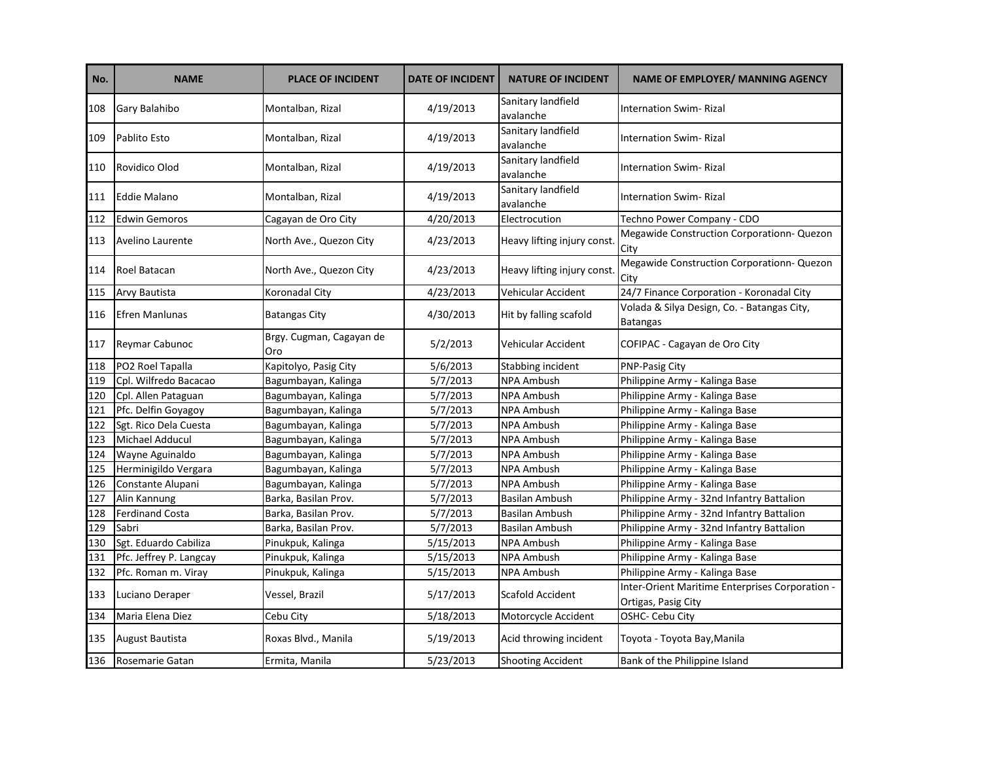| No. | <b>NAME</b>             | <b>PLACE OF INCIDENT</b>        | <b>DATE OF INCIDENT</b> | <b>NATURE OF INCIDENT</b>       | <b>NAME OF EMPLOYER/ MANNING AGENCY</b>                                |
|-----|-------------------------|---------------------------------|-------------------------|---------------------------------|------------------------------------------------------------------------|
| 108 | Gary Balahibo           | Montalban, Rizal                | 4/19/2013               | Sanitary landfield<br>avalanche | <b>Internation Swim- Rizal</b>                                         |
| 109 | Pablito Esto            | Montalban, Rizal                | 4/19/2013               | Sanitary landfield<br>avalanche | Internation Swim- Rizal                                                |
| 110 | Rovidico Olod           | Montalban, Rizal                | 4/19/2013               | Sanitary landfield<br>avalanche | <b>Internation Swim-Rizal</b>                                          |
| 111 | <b>Eddie Malano</b>     | Montalban, Rizal                | 4/19/2013               | Sanitary landfield<br>avalanche | <b>Internation Swim- Rizal</b>                                         |
| 112 | <b>Edwin Gemoros</b>    | Cagayan de Oro City             | 4/20/2013               | Electrocution                   | Techno Power Company - CDO                                             |
| 113 | Avelino Laurente        | North Ave., Quezon City         | 4/23/2013               | Heavy lifting injury const      | Megawide Construction Corporationn- Quezon<br>City                     |
| 114 | Roel Batacan            | North Ave., Quezon City         | 4/23/2013               | Heavy lifting injury const      | Megawide Construction Corporationn- Quezon<br>City                     |
| 115 | Arvy Bautista           | Koronadal City                  | 4/23/2013               | Vehicular Accident              | 24/7 Finance Corporation - Koronadal City                              |
| 116 | Efren Manlunas          | Batangas City                   | 4/30/2013               | Hit by falling scafold          | Volada & Silya Design, Co. - Batangas City,<br><b>Batangas</b>         |
| 117 | Reymar Cabunoc          | Brgy. Cugman, Cagayan de<br>Oro | 5/2/2013                | Vehicular Accident              | COFIPAC - Cagayan de Oro City                                          |
| 118 | PO2 Roel Tapalla        | Kapitolyo, Pasig City           | 5/6/2013                | Stabbing incident               | PNP-Pasig City                                                         |
| 119 | Cpl. Wilfredo Bacacao   | Bagumbayan, Kalinga             | 5/7/2013                | <b>NPA Ambush</b>               | Philippine Army - Kalinga Base                                         |
| 120 | Cpl. Allen Pataguan     | Bagumbayan, Kalinga             | 5/7/2013                | <b>NPA Ambush</b>               | Philippine Army - Kalinga Base                                         |
| 121 | Pfc. Delfin Goyagoy     | Bagumbayan, Kalinga             | 5/7/2013                | <b>NPA Ambush</b>               | Philippine Army - Kalinga Base                                         |
| 122 | Sgt. Rico Dela Cuesta   | Bagumbayan, Kalinga             | 5/7/2013                | <b>NPA Ambush</b>               | Philippine Army - Kalinga Base                                         |
| 123 | Michael Adducul         | Bagumbayan, Kalinga             | 5/7/2013                | <b>NPA Ambush</b>               | Philippine Army - Kalinga Base                                         |
| 124 | Wayne Aguinaldo         | Bagumbayan, Kalinga             | 5/7/2013                | <b>NPA Ambush</b>               | Philippine Army - Kalinga Base                                         |
| 125 | Herminigildo Vergara    | Bagumbayan, Kalinga             | 5/7/2013                | <b>NPA Ambush</b>               | Philippine Army - Kalinga Base                                         |
| 126 | Constante Alupani       | Bagumbayan, Kalinga             | 5/7/2013                | <b>NPA Ambush</b>               | Philippine Army - Kalinga Base                                         |
| 127 | Alin Kannung            | Barka, Basilan Prov.            | 5/7/2013                | <b>Basilan Ambush</b>           | Philippine Army - 32nd Infantry Battalion                              |
| 128 | <b>Ferdinand Costa</b>  | Barka, Basilan Prov.            | 5/7/2013                | <b>Basilan Ambush</b>           | Philippine Army - 32nd Infantry Battalion                              |
| 129 | Sabri                   | Barka, Basilan Prov.            | 5/7/2013                | Basilan Ambush                  | Philippine Army - 32nd Infantry Battalion                              |
| 130 | Sgt. Eduardo Cabiliza   | Pinukpuk, Kalinga               | 5/15/2013               | <b>NPA Ambush</b>               | Philippine Army - Kalinga Base                                         |
| 131 | Pfc. Jeffrey P. Langcay | Pinukpuk, Kalinga               | 5/15/2013               | <b>NPA Ambush</b>               | Philippine Army - Kalinga Base                                         |
| 132 | Pfc. Roman m. Viray     | Pinukpuk, Kalinga               | 5/15/2013               | <b>NPA Ambush</b>               | Philippine Army - Kalinga Base                                         |
| 133 | Luciano Deraper         | Vessel, Brazil                  | 5/17/2013               | <b>Scafold Accident</b>         | Inter-Orient Maritime Enterprises Corporation -<br>Ortigas, Pasig City |
| 134 | Maria Elena Diez        | Cebu City                       | 5/18/2013               | Motorcycle Accident             | OSHC- Cebu City                                                        |
| 135 | <b>August Bautista</b>  | Roxas Blvd., Manila             | 5/19/2013               | Acid throwing incident          | Toyota - Toyota Bay, Manila                                            |
| 136 | Rosemarie Gatan         | Ermita, Manila                  | 5/23/2013               | <b>Shooting Accident</b>        | Bank of the Philippine Island                                          |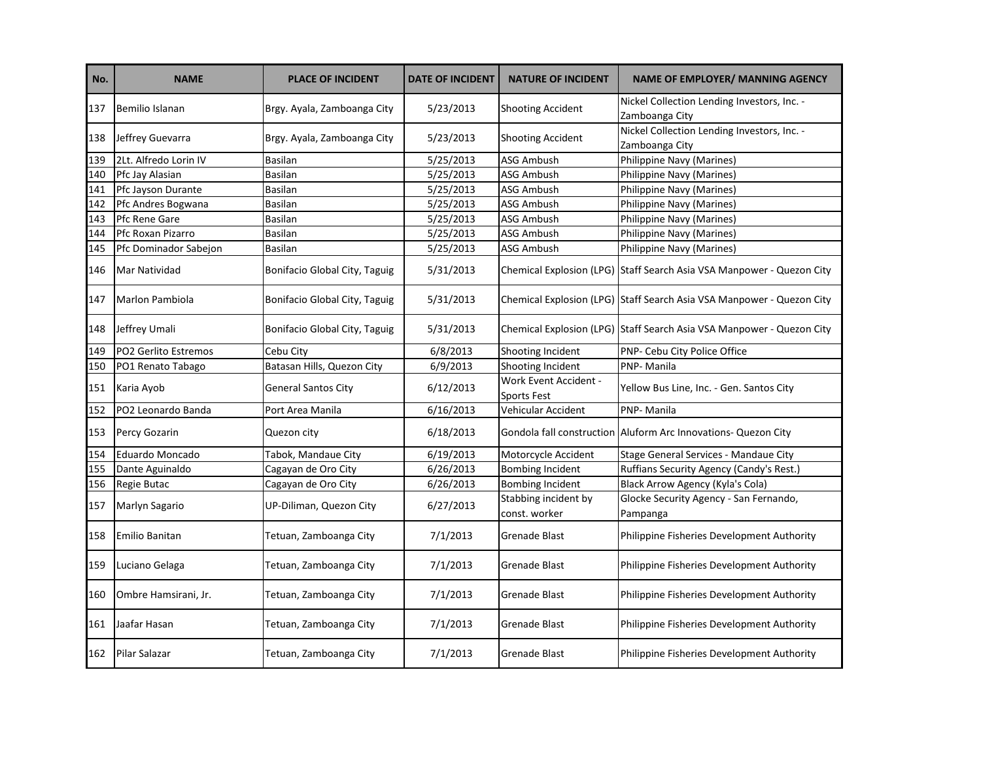| No. | <b>NAME</b>            | <b>PLACE OF INCIDENT</b>      | <b>DATE OF INCIDENT</b> | <b>NATURE OF INCIDENT</b>                          | <b>NAME OF EMPLOYER/ MANNING AGENCY</b>                               |
|-----|------------------------|-------------------------------|-------------------------|----------------------------------------------------|-----------------------------------------------------------------------|
| 137 | Bemilio Islanan        | Brgy. Ayala, Zamboanga City   | 5/23/2013               | <b>Shooting Accident</b>                           | Nickel Collection Lending Investors, Inc. -<br>Zamboanga City         |
| 138 | Jeffrey Guevarra       | Brgy. Ayala, Zamboanga City   | 5/23/2013               | <b>Shooting Accident</b>                           | Nickel Collection Lending Investors, Inc. -<br>Zamboanga City         |
| 139 | 2Lt. Alfredo Lorin IV  | <b>Basilan</b>                | 5/25/2013               | <b>ASG Ambush</b>                                  | Philippine Navy (Marines)                                             |
| 140 | Pfc Jay Alasian        | <b>Basilan</b>                | 5/25/2013               | <b>ASG Ambush</b>                                  | Philippine Navy (Marines)                                             |
| 141 | Pfc Jayson Durante     | <b>Basilan</b>                | 5/25/2013               | <b>ASG Ambush</b>                                  | Philippine Navy (Marines)                                             |
| 142 | Pfc Andres Bogwana     | <b>Basilan</b>                | 5/25/2013               | <b>ASG Ambush</b>                                  | Philippine Navy (Marines)                                             |
| 143 | Pfc Rene Gare          | Basilan                       | 5/25/2013               | ASG Ambush                                         | <b>Philippine Navy (Marines)</b>                                      |
| 144 | Pfc Roxan Pizarro      | <b>Basilan</b>                | 5/25/2013               | <b>ASG Ambush</b>                                  | Philippine Navy (Marines)                                             |
| 145 | Pfc Dominador Sabejon  | <b>Basilan</b>                | 5/25/2013               | <b>ASG Ambush</b>                                  | Philippine Navy (Marines)                                             |
| 146 | Mar Natividad          | Bonifacio Global City, Taguig | 5/31/2013               |                                                    | Chemical Explosion (LPG) Staff Search Asia VSA Manpower - Quezon City |
| 147 | <b>Marlon Pambiola</b> | Bonifacio Global City, Taguig | 5/31/2013               |                                                    | Chemical Explosion (LPG) Staff Search Asia VSA Manpower - Quezon City |
| 148 | Jeffrey Umali          | Bonifacio Global City, Taguig | 5/31/2013               |                                                    | Chemical Explosion (LPG) Staff Search Asia VSA Manpower - Quezon City |
| 149 | PO2 Gerlito Estremos   | Cebu City                     | 6/8/2013                | Shooting Incident                                  | PNP- Cebu City Police Office                                          |
| 150 | PO1 Renato Tabago      | Batasan Hills, Quezon City    | 6/9/2013                | Shooting Incident                                  | PNP-Manila                                                            |
| 151 | Karia Ayob             | General Santos City           | 6/12/2013               | <b>Work Event Accident -</b><br><b>Sports Fest</b> | Yellow Bus Line, Inc. - Gen. Santos City                              |
| 152 | PO2 Leonardo Banda     | Port Area Manila              | 6/16/2013               | Vehicular Accident                                 | PNP-Manila                                                            |
| 153 | Percy Gozarin          | Quezon city                   | 6/18/2013               |                                                    | Gondola fall construction Aluform Arc Innovations- Quezon City        |
| 154 | <b>Eduardo Moncado</b> | Tabok, Mandaue City           | 6/19/2013               | Motorcycle Accident                                | Stage General Services - Mandaue City                                 |
| 155 | Dante Aguinaldo        | Cagayan de Oro City           | 6/26/2013               | <b>Bombing Incident</b>                            | Ruffians Security Agency (Candy's Rest.)                              |
| 156 | Regie Butac            | Cagayan de Oro City           | 6/26/2013               | <b>Bombing Incident</b>                            | Black Arrow Agency (Kyla's Cola)                                      |
| 157 | Marlyn Sagario         | UP-Diliman, Quezon City       | 6/27/2013               | Stabbing incident by<br>const. worker              | Glocke Security Agency - San Fernando,<br>Pampanga                    |
| 158 | Emilio Banitan         | Tetuan, Zamboanga City        | 7/1/2013                | <b>Grenade Blast</b>                               | Philippine Fisheries Development Authority                            |
| 159 | Luciano Gelaga         | Tetuan, Zamboanga City        | 7/1/2013                | Grenade Blast                                      | Philippine Fisheries Development Authority                            |
| 160 | Ombre Hamsirani, Jr.   | Tetuan, Zamboanga City        | 7/1/2013                | <b>Grenade Blast</b>                               | Philippine Fisheries Development Authority                            |
| 161 | Jaafar Hasan           | Tetuan, Zamboanga City        | 7/1/2013                | Grenade Blast                                      | Philippine Fisheries Development Authority                            |
| 162 | Pilar Salazar          | Tetuan, Zamboanga City        | 7/1/2013                | Grenade Blast                                      | Philippine Fisheries Development Authority                            |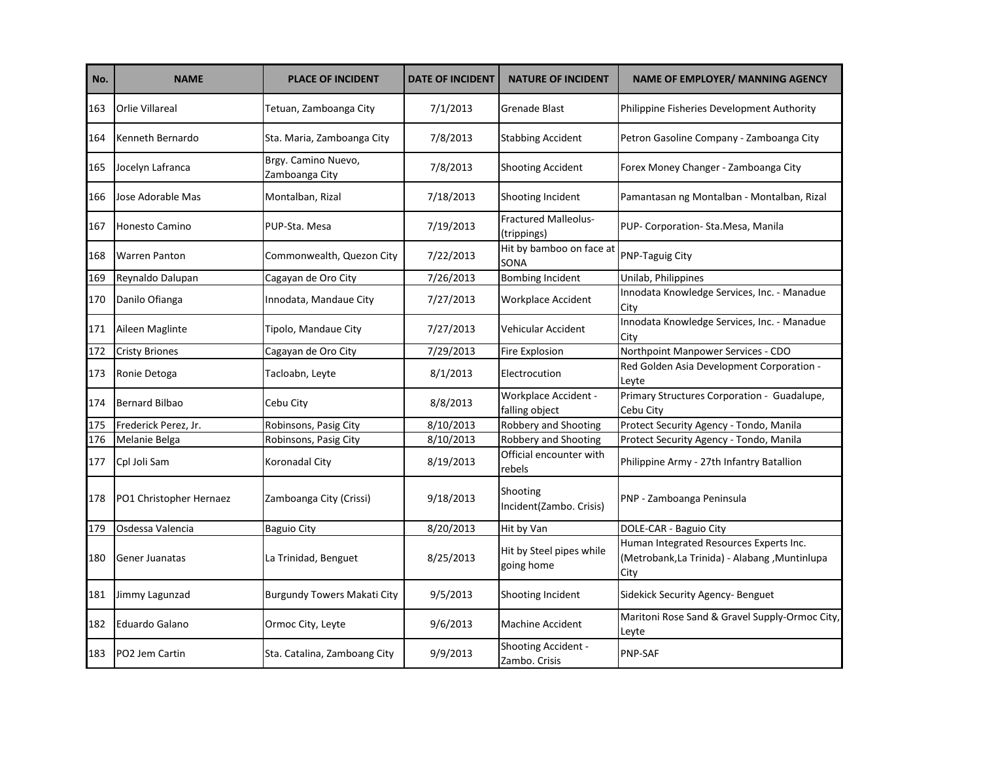| No. | <b>NAME</b>             | <b>PLACE OF INCIDENT</b>              | <b>DATE OF INCIDENT</b> | <b>NATURE OF INCIDENT</b>                  | <b>NAME OF EMPLOYER/ MANNING AGENCY</b>                                                          |
|-----|-------------------------|---------------------------------------|-------------------------|--------------------------------------------|--------------------------------------------------------------------------------------------------|
| 163 | Orlie Villareal         | Tetuan, Zamboanga City                | 7/1/2013                | Grenade Blast                              | Philippine Fisheries Development Authority                                                       |
| 164 | Kenneth Bernardo        | Sta. Maria, Zamboanga City            | 7/8/2013                | <b>Stabbing Accident</b>                   | Petron Gasoline Company - Zamboanga City                                                         |
| 165 | Jocelyn Lafranca        | Brgy. Camino Nuevo,<br>Zamboanga City | 7/8/2013                | <b>Shooting Accident</b>                   | Forex Money Changer - Zamboanga City                                                             |
| 166 | Jose Adorable Mas       | Montalban, Rizal                      | 7/18/2013               | Shooting Incident                          | Pamantasan ng Montalban - Montalban, Rizal                                                       |
| 167 | Honesto Camino          | PUP-Sta. Mesa                         | 7/19/2013               | <b>Fractured Malleolus-</b><br>(trippings) | PUP- Corporation- Sta. Mesa, Manila                                                              |
| 168 | <b>Warren Panton</b>    | Commonwealth, Quezon City             | 7/22/2013               | Hit by bamboo on face at<br>SONA           | <b>PNP-Taguig City</b>                                                                           |
| 169 | Reynaldo Dalupan        | Cagayan de Oro City                   | 7/26/2013               | <b>Bombing Incident</b>                    | Unilab, Philippines                                                                              |
| 170 | Danilo Ofianga          | Innodata, Mandaue City                | 7/27/2013               | Workplace Accident                         | Innodata Knowledge Services, Inc. - Manadue<br>City                                              |
| 171 | Aileen Maglinte         | Tipolo, Mandaue City                  | 7/27/2013               | Vehicular Accident                         | Innodata Knowledge Services, Inc. - Manadue<br>City                                              |
| 172 | <b>Cristy Briones</b>   | Cagayan de Oro City                   | 7/29/2013               | Fire Explosion                             | Northpoint Manpower Services - CDO                                                               |
| 173 | Ronie Detoga            | Tacloabn, Leyte                       | 8/1/2013                | Electrocution                              | Red Golden Asia Development Corporation -<br>Leyte                                               |
| 174 | <b>Bernard Bilbao</b>   | Cebu City                             | 8/8/2013                | Workplace Accident -<br>falling object     | Primary Structures Corporation - Guadalupe,<br>Cebu City                                         |
| 175 | Frederick Perez, Jr.    | Robinsons, Pasig City                 | 8/10/2013               | Robbery and Shooting                       | Protect Security Agency - Tondo, Manila                                                          |
| 176 | Melanie Belga           | Robinsons, Pasig City                 | 8/10/2013               | Robbery and Shooting                       | Protect Security Agency - Tondo, Manila                                                          |
| 177 | Cpl Joli Sam            | Koronadal City                        | 8/19/2013               | Official encounter with<br>rebels          | Philippine Army - 27th Infantry Batallion                                                        |
| 178 | PO1 Christopher Hernaez | Zamboanga City (Crissi)               | 9/18/2013               | Shooting<br>Incident(Zambo. Crisis)        | PNP - Zamboanga Peninsula                                                                        |
| 179 | Osdessa Valencia        | <b>Baguio City</b>                    | 8/20/2013               | Hit by Van                                 | DOLE-CAR - Baguio City                                                                           |
| 180 | Gener Juanatas          | La Trinidad, Benguet                  | 8/25/2013               | Hit by Steel pipes while<br>going home     | Human Integrated Resources Experts Inc.<br>(Metrobank, La Trinida) - Alabang, Muntinlupa<br>City |
| 181 | Jimmy Lagunzad          | <b>Burgundy Towers Makati City</b>    | 9/5/2013                | Shooting Incident                          | Sidekick Security Agency- Benguet                                                                |
| 182 | Eduardo Galano          | Ormoc City, Leyte                     | 9/6/2013                | <b>Machine Accident</b>                    | Maritoni Rose Sand & Gravel Supply-Ormoc City,<br>Leyte                                          |
| 183 | <b>PO2 Jem Cartin</b>   | Sta. Catalina, Zamboang City          | 9/9/2013                | Shooting Accident -<br>Zambo. Crisis       | PNP-SAF                                                                                          |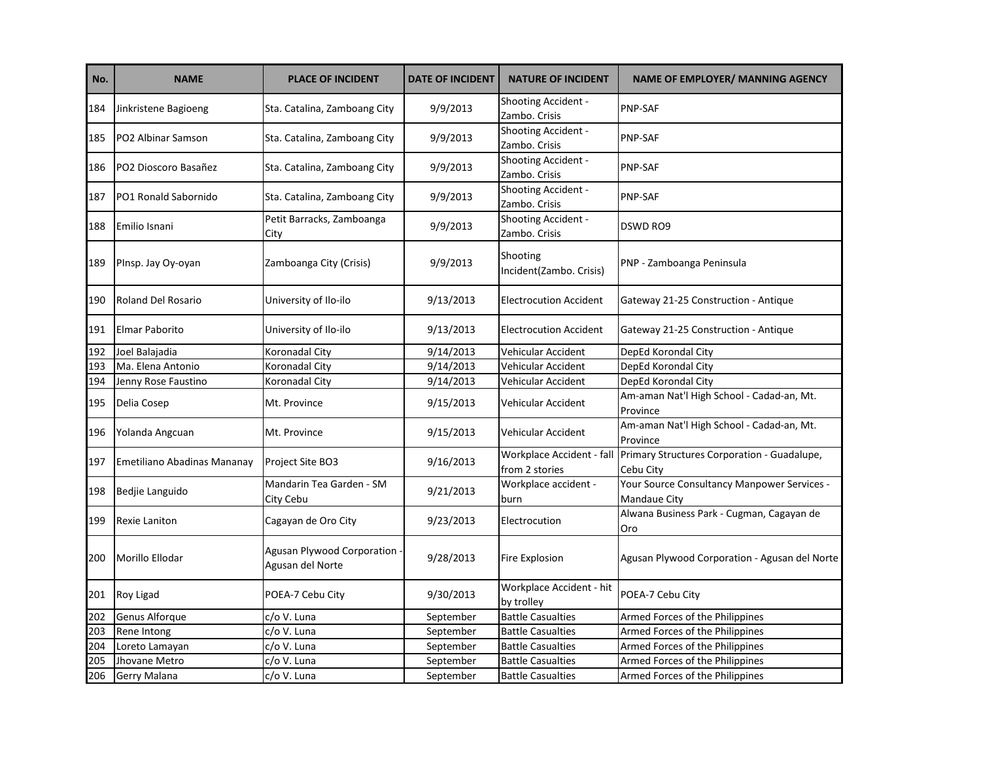| No. | <b>NAME</b>                 | <b>PLACE OF INCIDENT</b>                         | <b>DATE OF INCIDENT</b> | <b>NATURE OF INCIDENT</b>                   | <b>NAME OF EMPLOYER/ MANNING AGENCY</b>                            |
|-----|-----------------------------|--------------------------------------------------|-------------------------|---------------------------------------------|--------------------------------------------------------------------|
| 184 | Jinkristene Bagioeng        | Sta. Catalina, Zamboang City                     | 9/9/2013                | <b>Shooting Accident -</b><br>Zambo. Crisis | PNP-SAF                                                            |
| 185 | PO2 Albinar Samson          | Sta. Catalina, Zamboang City                     | 9/9/2013                | Shooting Accident -<br>Zambo. Crisis        | <b>PNP-SAF</b>                                                     |
| 186 | PO2 Dioscoro Basañez        | Sta. Catalina, Zamboang City                     | 9/9/2013                | Shooting Accident -<br>Zambo. Crisis        | PNP-SAF                                                            |
| 187 | PO1 Ronald Sabornido        | Sta. Catalina, Zamboang City                     | 9/9/2013                | Shooting Accident -<br>Zambo. Crisis        | PNP-SAF                                                            |
| 188 | Emilio Isnani               | Petit Barracks, Zamboanga<br>City                | 9/9/2013                | <b>Shooting Accident -</b><br>Zambo. Crisis | DSWD RO9                                                           |
| 189 | Pinsp. Jay Oy-oyan          | Zamboanga City (Crisis)                          | 9/9/2013                | Shooting<br>Incident(Zambo. Crisis)         | PNP - Zamboanga Peninsula                                          |
| 190 | <b>Roland Del Rosario</b>   | University of Ilo-ilo                            | 9/13/2013               | <b>Electrocution Accident</b>               | Gateway 21-25 Construction - Antique                               |
| 191 | <b>Elmar Paborito</b>       | University of Ilo-ilo                            | 9/13/2013               | <b>Electrocution Accident</b>               | Gateway 21-25 Construction - Antique                               |
| 192 | Joel Balajadia              | Koronadal City                                   | 9/14/2013               | Vehicular Accident                          | DepEd Korondal City                                                |
| 193 | Ma. Elena Antonio           | Koronadal City                                   | 9/14/2013               | Vehicular Accident                          | DepEd Korondal City                                                |
| 194 | Jenny Rose Faustino         | Koronadal City                                   | 9/14/2013               | Vehicular Accident                          | DepEd Korondal City                                                |
| 195 | Delia Cosep                 | Mt. Province                                     | 9/15/2013               | Vehicular Accident                          | Am-aman Nat'l High School - Cadad-an, Mt.<br>Province              |
| 196 | Yolanda Angcuan             | Mt. Province                                     | 9/15/2013               | Vehicular Accident                          | Am-aman Nat'l High School - Cadad-an, Mt.<br>Province              |
| 197 | Emetiliano Abadinas Mananay | Project Site BO3                                 | 9/16/2013               | Workplace Accident - fall<br>from 2 stories | Primary Structures Corporation - Guadalupe,<br>Cebu City           |
| 198 | Bedjie Languido             | Mandarin Tea Garden - SM<br>City Cebu            | 9/21/2013               | Workplace accident -<br>burn                | Your Source Consultancy Manpower Services -<br><b>Mandaue City</b> |
| 199 | <b>Rexie Laniton</b>        | Cagayan de Oro City                              | 9/23/2013               | Electrocution                               | Alwana Business Park - Cugman, Cagayan de<br>Oro                   |
| 200 | Morillo Ellodar             | Agusan Plywood Corporation -<br>Agusan del Norte | 9/28/2013               | <b>Fire Explosion</b>                       | Agusan Plywood Corporation - Agusan del Norte                      |
| 201 | <b>Roy Ligad</b>            | POEA-7 Cebu City                                 | 9/30/2013               | Workplace Accident - hit<br>by trolley      | POEA-7 Cebu City                                                   |
| 202 | Genus Alforque              | c/o V. Luna                                      | September               | <b>Battle Casualties</b>                    | Armed Forces of the Philippines                                    |
| 203 | Rene Intong                 | c/o V. Luna                                      | September               | <b>Battle Casualties</b>                    | Armed Forces of the Philippines                                    |
| 204 | Loreto Lamayan              | c/o V. Luna                                      | September               | <b>Battle Casualties</b>                    | Armed Forces of the Philippines                                    |
| 205 | Jhovane Metro               | c/o V. Luna                                      | September               | <b>Battle Casualties</b>                    | Armed Forces of the Philippines                                    |
| 206 | Gerry Malana                | c/o V. Luna                                      | September               | <b>Battle Casualties</b>                    | Armed Forces of the Philippines                                    |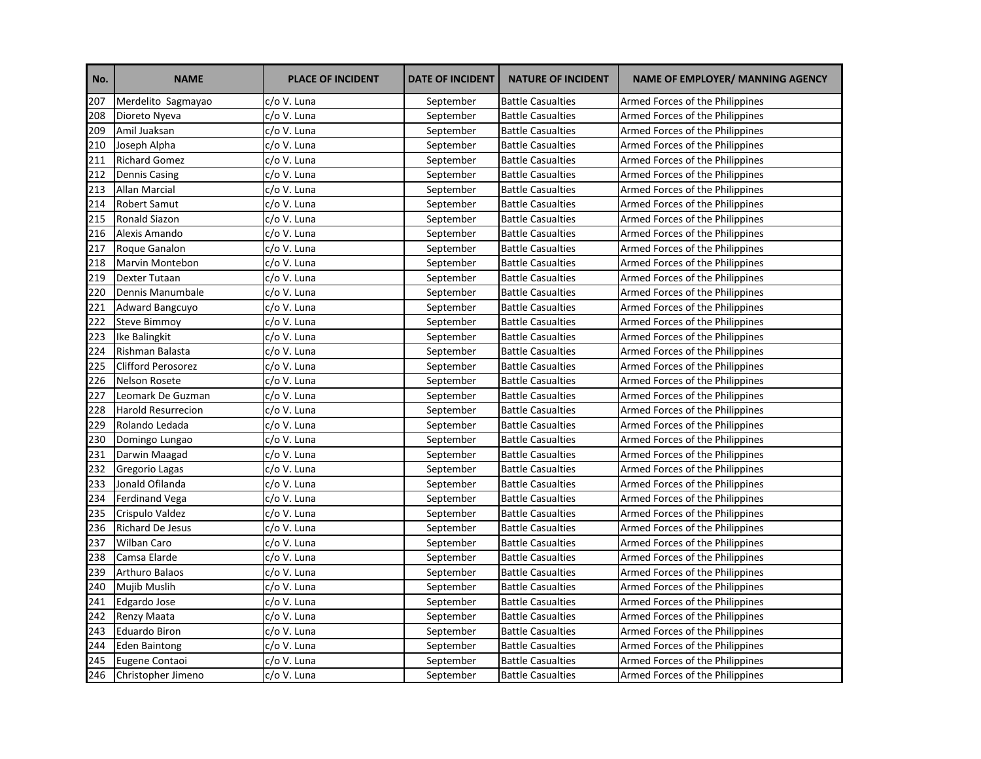| No. | <b>NAME</b>               | <b>PLACE OF INCIDENT</b> | <b>DATE OF INCIDENT</b> | <b>NATURE OF INCIDENT</b> | <b>NAME OF EMPLOYER/ MANNING AGENCY</b> |
|-----|---------------------------|--------------------------|-------------------------|---------------------------|-----------------------------------------|
| 207 | Merdelito Sagmayao        | c/o V. Luna              | September               | <b>Battle Casualties</b>  | Armed Forces of the Philippines         |
| 208 | Dioreto Nyeva             | c/o V. Luna              | September               | <b>Battle Casualties</b>  | Armed Forces of the Philippines         |
| 209 | Amil Juaksan              | c/o V. Luna              | September               | <b>Battle Casualties</b>  | Armed Forces of the Philippines         |
| 210 | Joseph Alpha              | c/o V. Luna              | September               | <b>Battle Casualties</b>  | Armed Forces of the Philippines         |
| 211 | <b>Richard Gomez</b>      | c/o V. Luna              | September               | <b>Battle Casualties</b>  | Armed Forces of the Philippines         |
| 212 | <b>Dennis Casing</b>      | c/o V. Luna              | September               | <b>Battle Casualties</b>  | Armed Forces of the Philippines         |
| 213 | Allan Marcial             | c/o V. Luna              | September               | <b>Battle Casualties</b>  | Armed Forces of the Philippines         |
| 214 | <b>Robert Samut</b>       | c/o V. Luna              | September               | <b>Battle Casualties</b>  | Armed Forces of the Philippines         |
| 215 | <b>Ronald Siazon</b>      | c/o V. Luna              | September               | <b>Battle Casualties</b>  | Armed Forces of the Philippines         |
| 216 | Alexis Amando             | c/o V. Luna              | September               | <b>Battle Casualties</b>  | Armed Forces of the Philippines         |
| 217 | Roque Ganalon             | c/o V. Luna              | September               | <b>Battle Casualties</b>  | Armed Forces of the Philippines         |
| 218 | Marvin Montebon           | c/o V. Luna              | September               | <b>Battle Casualties</b>  | Armed Forces of the Philippines         |
| 219 | Dexter Tutaan             | c/o V. Luna              | September               | <b>Battle Casualties</b>  | Armed Forces of the Philippines         |
| 220 | Dennis Manumbale          | c/o V. Luna              | September               | <b>Battle Casualties</b>  | Armed Forces of the Philippines         |
| 221 | Adward Bangcuyo           | c/o V. Luna              | September               | <b>Battle Casualties</b>  | Armed Forces of the Philippines         |
| 222 | <b>Steve Bimmoy</b>       | c/o V. Luna              | September               | <b>Battle Casualties</b>  | Armed Forces of the Philippines         |
| 223 | Ike Balingkit             | c/o V. Luna              | September               | <b>Battle Casualties</b>  | Armed Forces of the Philippines         |
| 224 | Rishman Balasta           | c/o V. Luna              | September               | <b>Battle Casualties</b>  | Armed Forces of the Philippines         |
| 225 | <b>Clifford Perosorez</b> | c/o V. Luna              | September               | <b>Battle Casualties</b>  | Armed Forces of the Philippines         |
| 226 | <b>Nelson Rosete</b>      | c/o V. Luna              | September               | <b>Battle Casualties</b>  | Armed Forces of the Philippines         |
| 227 | Leomark De Guzman         | c/o V. Luna              | September               | <b>Battle Casualties</b>  | Armed Forces of the Philippines         |
| 228 | <b>Harold Resurrecion</b> | c/o V. Luna              | September               | <b>Battle Casualties</b>  | Armed Forces of the Philippines         |
| 229 | Rolando Ledada            | c/o V. Luna              | September               | <b>Battle Casualties</b>  | Armed Forces of the Philippines         |
| 230 | Domingo Lungao            | c/o V. Luna              | September               | <b>Battle Casualties</b>  | Armed Forces of the Philippines         |
| 231 | Darwin Maagad             | c/o V. Luna              | September               | <b>Battle Casualties</b>  | Armed Forces of the Philippines         |
| 232 | Gregorio Lagas            | c/o V. Luna              | September               | <b>Battle Casualties</b>  | Armed Forces of the Philippines         |
| 233 | Jonald Ofilanda           | c/o V. Luna              | September               | <b>Battle Casualties</b>  | Armed Forces of the Philippines         |
| 234 | Ferdinand Vega            | c/o V. Luna              | September               | <b>Battle Casualties</b>  | Armed Forces of the Philippines         |
| 235 | Crispulo Valdez           | c/o V. Luna              | September               | <b>Battle Casualties</b>  | Armed Forces of the Philippines         |
| 236 | <b>Richard De Jesus</b>   | c/o V. Luna              | September               | <b>Battle Casualties</b>  | Armed Forces of the Philippines         |
| 237 | Wilban Caro               | c/o V. Luna              | September               | <b>Battle Casualties</b>  | Armed Forces of the Philippines         |
| 238 | Camsa Elarde              | c/o V. Luna              | September               | <b>Battle Casualties</b>  | Armed Forces of the Philippines         |
| 239 | Arthuro Balaos            | c/o V. Luna              | September               | <b>Battle Casualties</b>  | Armed Forces of the Philippines         |
| 240 | Mujib Muslih              | c/o V. Luna              | September               | <b>Battle Casualties</b>  | Armed Forces of the Philippines         |
| 241 | Edgardo Jose              | c/o V. Luna              | September               | <b>Battle Casualties</b>  | Armed Forces of the Philippines         |
| 242 | Renzy Maata               | c/o V. Luna              | September               | <b>Battle Casualties</b>  | Armed Forces of the Philippines         |
| 243 | <b>Eduardo Biron</b>      | c/o V. Luna              | September               | <b>Battle Casualties</b>  | Armed Forces of the Philippines         |
| 244 | <b>Eden Baintong</b>      | c/o V. Luna              | September               | <b>Battle Casualties</b>  | Armed Forces of the Philippines         |
| 245 | Eugene Contaoi            | c/o V. Luna              | September               | <b>Battle Casualties</b>  | Armed Forces of the Philippines         |
| 246 | Christopher Jimeno        | c/o V. Luna              | September               | <b>Battle Casualties</b>  | Armed Forces of the Philippines         |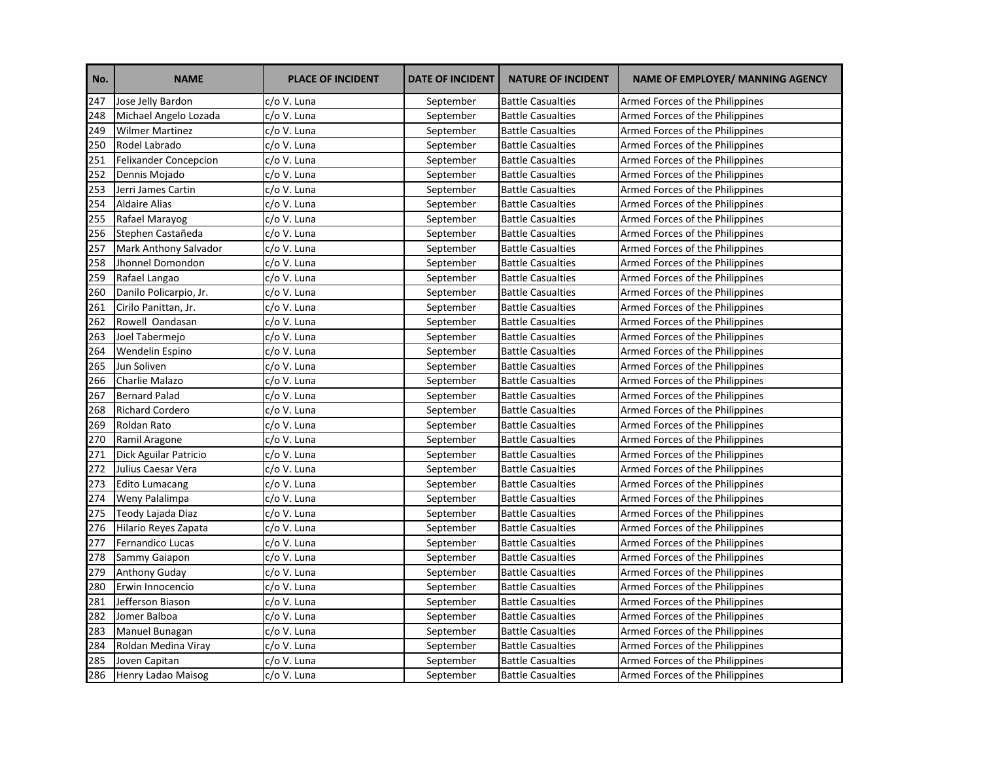| No. | <b>NAME</b>                  | <b>PLACE OF INCIDENT</b> | <b>DATE OF INCIDENT</b> | <b>NATURE OF INCIDENT</b> | <b>NAME OF EMPLOYER/ MANNING AGENCY</b> |
|-----|------------------------------|--------------------------|-------------------------|---------------------------|-----------------------------------------|
| 247 | Jose Jelly Bardon            | c/o V. Luna              | September               | <b>Battle Casualties</b>  | Armed Forces of the Philippines         |
| 248 | Michael Angelo Lozada        | c/o V. Luna              | September               | <b>Battle Casualties</b>  | Armed Forces of the Philippines         |
| 249 | <b>Wilmer Martinez</b>       | c/o V. Luna              | September               | <b>Battle Casualties</b>  | Armed Forces of the Philippines         |
| 250 | Rodel Labrado                | c/o V. Luna              | September               | <b>Battle Casualties</b>  | Armed Forces of the Philippines         |
| 251 | Felixander Concepcion        | c/o V. Luna              | September               | <b>Battle Casualties</b>  | Armed Forces of the Philippines         |
| 252 | Dennis Mojado                | c/o V. Luna              | September               | <b>Battle Casualties</b>  | Armed Forces of the Philippines         |
| 253 | Jerri James Cartin           | c/o V. Luna              | September               | <b>Battle Casualties</b>  | Armed Forces of the Philippines         |
| 254 | <b>Aldaire Alias</b>         | c/o V. Luna              | September               | <b>Battle Casualties</b>  | Armed Forces of the Philippines         |
| 255 | Rafael Marayog               | c/o V. Luna              | September               | <b>Battle Casualties</b>  | Armed Forces of the Philippines         |
| 256 | Stephen Castañeda            | c/o V. Luna              | September               | <b>Battle Casualties</b>  | Armed Forces of the Philippines         |
| 257 | <b>Mark Anthony Salvador</b> | c/o V. Luna              | September               | <b>Battle Casualties</b>  | Armed Forces of the Philippines         |
| 258 | Jhonnel Domondon             | c/o V. Luna              | September               | <b>Battle Casualties</b>  | Armed Forces of the Philippines         |
| 259 | Rafael Langao                | c/o V. Luna              | September               | <b>Battle Casualties</b>  | Armed Forces of the Philippines         |
| 260 | Danilo Policarpio, Jr.       | c/o V. Luna              | September               | <b>Battle Casualties</b>  | Armed Forces of the Philippines         |
| 261 | Cirilo Panittan, Jr.         | c/o V. Luna              | September               | <b>Battle Casualties</b>  | Armed Forces of the Philippines         |
| 262 | Rowell Oandasan              | c/o V. Luna              | September               | <b>Battle Casualties</b>  | Armed Forces of the Philippines         |
| 263 | Joel Tabermejo               | c/o V. Luna              | September               | <b>Battle Casualties</b>  | Armed Forces of the Philippines         |
| 264 | Wendelin Espino              | c/o V. Luna              | September               | <b>Battle Casualties</b>  | Armed Forces of the Philippines         |
| 265 | Jun Soliven                  | c/o V. Luna              | September               | <b>Battle Casualties</b>  | Armed Forces of the Philippines         |
| 266 | Charlie Malazo               | c/o V. Luna              | September               | <b>Battle Casualties</b>  | Armed Forces of the Philippines         |
| 267 | <b>Bernard Palad</b>         | c/o V. Luna              | September               | <b>Battle Casualties</b>  | Armed Forces of the Philippines         |
| 268 | <b>Richard Cordero</b>       | c/o V. Luna              | September               | <b>Battle Casualties</b>  | Armed Forces of the Philippines         |
| 269 | Roldan Rato                  | c/o V. Luna              | September               | <b>Battle Casualties</b>  | Armed Forces of the Philippines         |
| 270 | Ramil Aragone                | c/o V. Luna              | September               | <b>Battle Casualties</b>  | Armed Forces of the Philippines         |
| 271 | Dick Aguilar Patricio        | c/o V. Luna              | September               | <b>Battle Casualties</b>  | Armed Forces of the Philippines         |
| 272 | Julius Caesar Vera           | c/o V. Luna              | September               | <b>Battle Casualties</b>  | Armed Forces of the Philippines         |
| 273 | <b>Edito Lumacang</b>        | c/o V. Luna              | September               | <b>Battle Casualties</b>  | Armed Forces of the Philippines         |
| 274 | Weny Palalimpa               | c/o V. Luna              | September               | <b>Battle Casualties</b>  | Armed Forces of the Philippines         |
| 275 | Teody Lajada Diaz            | c/o V. Luna              | September               | <b>Battle Casualties</b>  | Armed Forces of the Philippines         |
| 276 | Hilario Reyes Zapata         | c/o V. Luna              | September               | <b>Battle Casualties</b>  | Armed Forces of the Philippines         |
| 277 | Fernandico Lucas             | c/o V. Luna              | September               | <b>Battle Casualties</b>  | Armed Forces of the Philippines         |
| 278 | Sammy Gaiapon                | c/o V. Luna              | September               | <b>Battle Casualties</b>  | Armed Forces of the Philippines         |
| 279 | <b>Anthony Guday</b>         | c/o V. Luna              | September               | <b>Battle Casualties</b>  | Armed Forces of the Philippines         |
| 280 | Erwin Innocencio             | c/o V. Luna              | September               | <b>Battle Casualties</b>  | Armed Forces of the Philippines         |
| 281 | Jefferson Biason             | c/o V. Luna              | September               | <b>Battle Casualties</b>  | Armed Forces of the Philippines         |
| 282 | Jomer Balboa                 | c/o V. Luna              | September               | <b>Battle Casualties</b>  | Armed Forces of the Philippines         |
| 283 | Manuel Bunagan               | c/o V. Luna              | September               | <b>Battle Casualties</b>  | Armed Forces of the Philippines         |
| 284 | Roldan Medina Viray          | c/o V. Luna              | September               | <b>Battle Casualties</b>  | Armed Forces of the Philippines         |
| 285 | Joven Capitan                | c/o V. Luna              | September               | <b>Battle Casualties</b>  | Armed Forces of the Philippines         |
| 286 | <b>Henry Ladao Maisog</b>    | c/o V. Luna              | September               | <b>Battle Casualties</b>  | Armed Forces of the Philippines         |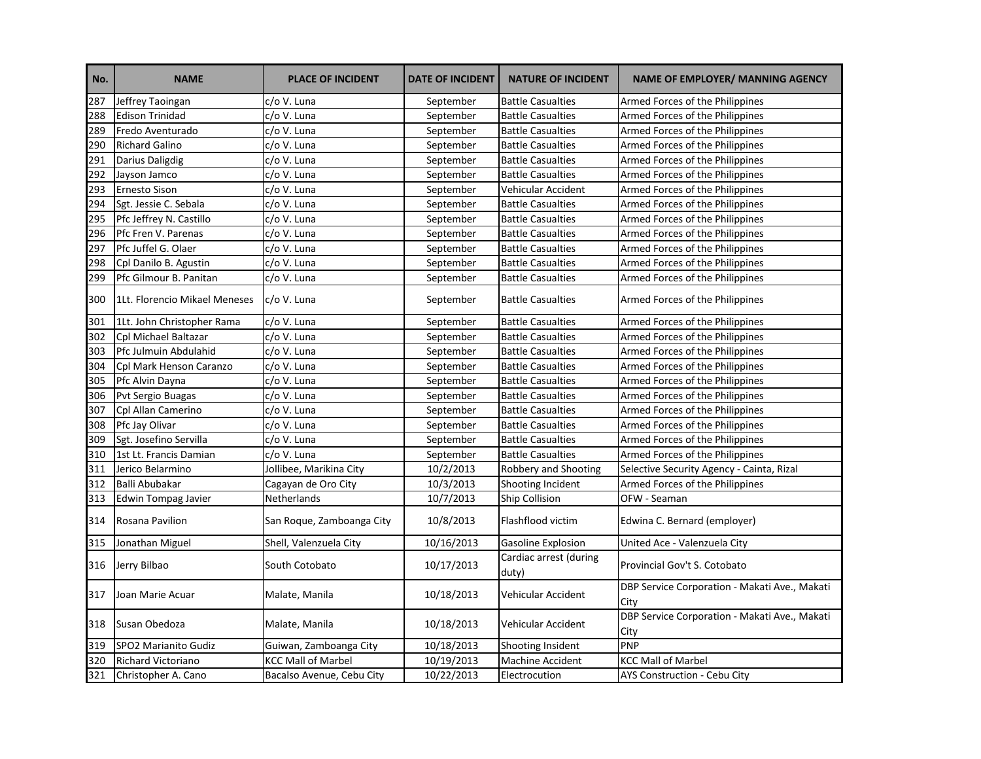| No. | <b>NAME</b>                   | <b>PLACE OF INCIDENT</b>  | <b>DATE OF INCIDENT</b> | <b>NATURE OF INCIDENT</b>       | <b>NAME OF EMPLOYER/ MANNING AGENCY</b>               |
|-----|-------------------------------|---------------------------|-------------------------|---------------------------------|-------------------------------------------------------|
| 287 | Jeffrey Taoingan              | c/o V. Luna               | September               | <b>Battle Casualties</b>        | Armed Forces of the Philippines                       |
| 288 | <b>Edison Trinidad</b>        | c/o V. Luna               | September               | <b>Battle Casualties</b>        | Armed Forces of the Philippines                       |
| 289 | Fredo Aventurado              | c/o V. Luna               | September               | <b>Battle Casualties</b>        | Armed Forces of the Philippines                       |
| 290 | <b>Richard Galino</b>         | c/o V. Luna               | September               | <b>Battle Casualties</b>        | Armed Forces of the Philippines                       |
| 291 | Darius Daligdig               | c/o V. Luna               | September               | <b>Battle Casualties</b>        | Armed Forces of the Philippines                       |
| 292 | Jayson Jamco                  | c/o V. Luna               | September               | <b>Battle Casualties</b>        | Armed Forces of the Philippines                       |
| 293 | <b>Ernesto Sison</b>          | c/o V. Luna               | September               | Vehicular Accident              | Armed Forces of the Philippines                       |
| 294 | Sgt. Jessie C. Sebala         | c/o V. Luna               | September               | <b>Battle Casualties</b>        | Armed Forces of the Philippines                       |
| 295 | Pfc Jeffrey N. Castillo       | c/o V. Luna               | September               | <b>Battle Casualties</b>        | Armed Forces of the Philippines                       |
| 296 | Pfc Fren V. Parenas           | c/o V. Luna               | September               | <b>Battle Casualties</b>        | Armed Forces of the Philippines                       |
| 297 | Pfc Juffel G. Olaer           | c/o V. Luna               | September               | <b>Battle Casualties</b>        | Armed Forces of the Philippines                       |
| 298 | Cpl Danilo B. Agustin         | c/o V. Luna               | September               | <b>Battle Casualties</b>        | Armed Forces of the Philippines                       |
| 299 | Pfc Gilmour B. Panitan        | c/o V. Luna               | September               | <b>Battle Casualties</b>        | Armed Forces of the Philippines                       |
| 300 | 1Lt. Florencio Mikael Meneses | c/o V. Luna               | September               | <b>Battle Casualties</b>        | Armed Forces of the Philippines                       |
| 301 | 1Lt. John Christopher Rama    | c/o V. Luna               | September               | <b>Battle Casualties</b>        | Armed Forces of the Philippines                       |
| 302 | Cpl Michael Baltazar          | c/o V. Luna               | September               | <b>Battle Casualties</b>        | Armed Forces of the Philippines                       |
| 303 | Pfc Julmuin Abdulahid         | c/o V. Luna               | September               | <b>Battle Casualties</b>        | Armed Forces of the Philippines                       |
| 304 | Cpl Mark Henson Caranzo       | c/o V. Luna               | September               | <b>Battle Casualties</b>        | Armed Forces of the Philippines                       |
| 305 | Pfc Alvin Dayna               | c/o V. Luna               | September               | <b>Battle Casualties</b>        | Armed Forces of the Philippines                       |
| 306 | Pvt Sergio Buagas             | c/o V. Luna               | September               | <b>Battle Casualties</b>        | Armed Forces of the Philippines                       |
| 307 | Cpl Allan Camerino            | c/o V. Luna               | September               | <b>Battle Casualties</b>        | Armed Forces of the Philippines                       |
| 308 | Pfc Jay Olivar                | c/o V. Luna               | September               | <b>Battle Casualties</b>        | Armed Forces of the Philippines                       |
| 309 | Sgt. Josefino Servilla        | c/o V. Luna               | September               | <b>Battle Casualties</b>        | Armed Forces of the Philippines                       |
| 310 | 1st Lt. Francis Damian        | c/o V. Luna               | September               | <b>Battle Casualties</b>        | Armed Forces of the Philippines                       |
| 311 | Jerico Belarmino              | Jollibee, Marikina City   | 10/2/2013               | Robbery and Shooting            | Selective Security Agency - Cainta, Rizal             |
| 312 | Balli Abubakar                | Cagayan de Oro City       | 10/3/2013               | Shooting Incident               | Armed Forces of the Philippines                       |
| 313 | Edwin Tompag Javier           | Netherlands               | 10/7/2013               | Ship Collision                  | OFW - Seaman                                          |
| 314 | Rosana Pavilion               | San Roque, Zamboanga City | 10/8/2013               | Flashflood victim               | Edwina C. Bernard (employer)                          |
| 315 | Jonathan Miguel               | Shell, Valenzuela City    | 10/16/2013              | Gasoline Explosion              | United Ace - Valenzuela City                          |
| 316 | Jerry Bilbao                  | South Cotobato            | 10/17/2013              | Cardiac arrest (during<br>duty) | Provincial Gov't S. Cotobato                          |
| 317 | Joan Marie Acuar              | Malate, Manila            | 10/18/2013              | Vehicular Accident              | DBP Service Corporation - Makati Ave., Makati<br>City |
| 318 | Susan Obedoza                 | Malate, Manila            | 10/18/2013              | Vehicular Accident              | DBP Service Corporation - Makati Ave., Makati<br>City |
| 319 | SPO2 Marianito Gudiz          | Guiwan, Zamboanga City    | 10/18/2013              | Shooting Insident               | <b>PNP</b>                                            |
| 320 | Richard Victoriano            | <b>KCC Mall of Marbel</b> | 10/19/2013              | <b>Machine Accident</b>         | <b>KCC Mall of Marbel</b>                             |
| 321 | Christopher A. Cano           | Bacalso Avenue, Cebu City | 10/22/2013              | Electrocution                   | AYS Construction - Cebu City                          |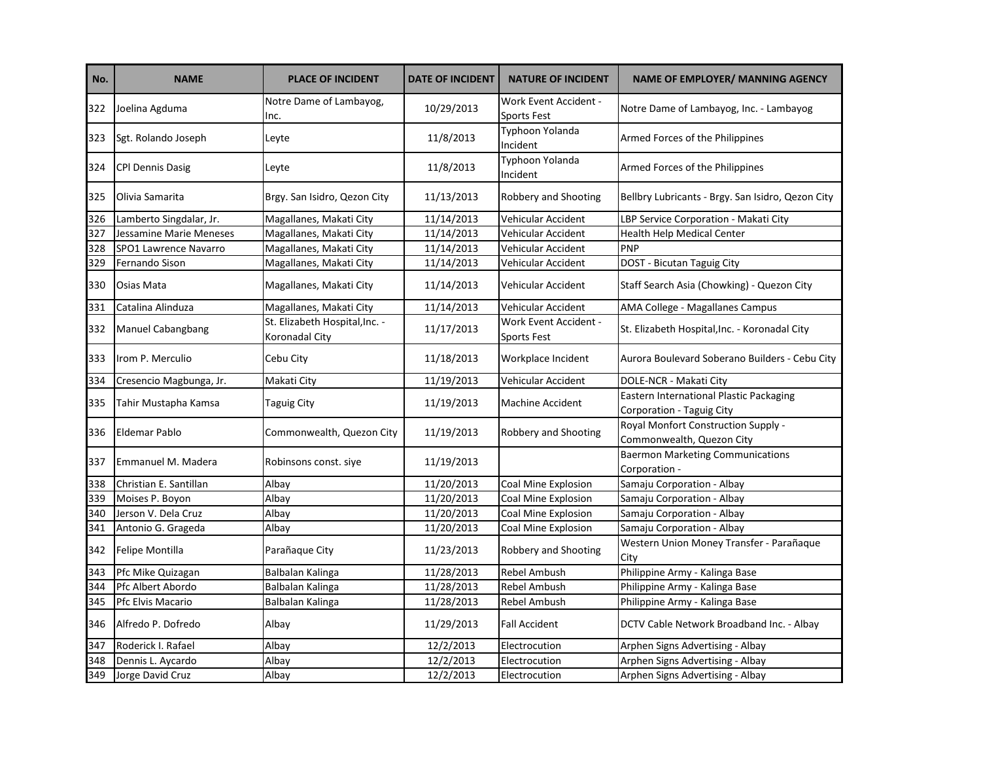| No. | <b>NAME</b>              | <b>PLACE OF INCIDENT</b>                         | <b>DATE OF INCIDENT</b> | <b>NATURE OF INCIDENT</b>                   | <b>NAME OF EMPLOYER/ MANNING AGENCY</b>                              |
|-----|--------------------------|--------------------------------------------------|-------------------------|---------------------------------------------|----------------------------------------------------------------------|
| 322 | Joelina Agduma           | Notre Dame of Lambayog,<br>Inc.                  | 10/29/2013              | Work Event Accident -<br><b>Sports Fest</b> | Notre Dame of Lambayog, Inc. - Lambayog                              |
| 323 | Sgt. Rolando Joseph      | Leyte                                            | 11/8/2013               | Typhoon Yolanda<br>Incident                 | Armed Forces of the Philippines                                      |
| 324 | <b>CPI Dennis Dasig</b>  | Leyte                                            | 11/8/2013               | Typhoon Yolanda<br>Incident                 | Armed Forces of the Philippines                                      |
| 325 | Olivia Samarita          | Brgy. San Isidro, Qezon City                     | 11/13/2013              | Robbery and Shooting                        | Bellbry Lubricants - Brgy. San Isidro, Qezon City                    |
| 326 | Lamberto Singdalar, Jr.  | Magallanes, Makati City                          | 11/14/2013              | Vehicular Accident                          | LBP Service Corporation - Makati City                                |
| 327 | Jessamine Marie Meneses  | Magallanes, Makati City                          | 11/14/2013              | Vehicular Accident                          | <b>Health Help Medical Center</b>                                    |
| 328 | SPO1 Lawrence Navarro    | Magallanes, Makati City                          | 11/14/2013              | Vehicular Accident                          | PNP                                                                  |
| 329 | Fernando Sison           | Magallanes, Makati City                          | 11/14/2013              | Vehicular Accident                          | DOST - Bicutan Taguig City                                           |
| 330 | Osias Mata               | Magallanes, Makati City                          | 11/14/2013              | Vehicular Accident                          | Staff Search Asia (Chowking) - Quezon City                           |
| 331 | Catalina Alinduza        | Magallanes, Makati City                          | 11/14/2013              | Vehicular Accident                          | AMA College - Magallanes Campus                                      |
| 332 | <b>Manuel Cabangbang</b> | St. Elizabeth Hospital, Inc. -<br>Koronadal City | 11/17/2013              | <b>Work Event Accident -</b><br>Sports Fest | St. Elizabeth Hospital, Inc. - Koronadal City                        |
| 333 | Irom P. Merculio         | Cebu City                                        | 11/18/2013              | Workplace Incident                          | Aurora Boulevard Soberano Builders - Cebu City                       |
| 334 | Cresencio Magbunga, Jr.  | Makati City                                      | 11/19/2013              | Vehicular Accident                          | DOLE-NCR - Makati City                                               |
| 335 | Tahir Mustapha Kamsa     | Taguig City                                      | 11/19/2013              | <b>Machine Accident</b>                     | Eastern International Plastic Packaging<br>Corporation - Taguig City |
| 336 | <b>Eldemar Pablo</b>     | Commonwealth, Quezon City                        | 11/19/2013              | <b>Robbery and Shooting</b>                 | Royal Monfort Construction Supply -<br>Commonwealth, Quezon City     |
| 337 | Emmanuel M. Madera       | Robinsons const. siye                            | 11/19/2013              |                                             | <b>Baermon Marketing Communications</b><br>Corporation -             |
| 338 | Christian E. Santillan   | Albay                                            | 11/20/2013              | Coal Mine Explosion                         | Samaju Corporation - Albay                                           |
| 339 | Moises P. Boyon          | Albay                                            | 11/20/2013              | Coal Mine Explosion                         | Samaju Corporation - Albay                                           |
| 340 | Jerson V. Dela Cruz      | Albay                                            | 11/20/2013              | Coal Mine Explosion                         | Samaju Corporation - Albay                                           |
| 341 | Antonio G. Grageda       | Albay                                            | 11/20/2013              | Coal Mine Explosion                         | Samaju Corporation - Albay                                           |
| 342 | <b>Felipe Montilla</b>   | Parañaque City                                   | 11/23/2013              | <b>Robbery and Shooting</b>                 | Western Union Money Transfer - Parañaque<br>City                     |
| 343 | Pfc Mike Quizagan        | <b>Balbalan Kalinga</b>                          | 11/28/2013              | Rebel Ambush                                | Philippine Army - Kalinga Base                                       |
| 344 | Pfc Albert Abordo        | Balbalan Kalinga                                 | 11/28/2013              | Rebel Ambush                                | Philippine Army - Kalinga Base                                       |
| 345 | Pfc Elvis Macario        | Balbalan Kalinga                                 | 11/28/2013              | Rebel Ambush                                | Philippine Army - Kalinga Base                                       |
| 346 | Alfredo P. Dofredo       | Albay                                            | 11/29/2013              | <b>Fall Accident</b>                        | DCTV Cable Network Broadband Inc. - Albay                            |
| 347 | Roderick I. Rafael       | Albay                                            | 12/2/2013               | Electrocution                               | Arphen Signs Advertising - Albay                                     |
| 348 | Dennis L. Aycardo        | Albay                                            | 12/2/2013               | Electrocution                               | Arphen Signs Advertising - Albay                                     |
| 349 | Jorge David Cruz         | Albay                                            | 12/2/2013               | Electrocution                               | Arphen Signs Advertising - Albay                                     |